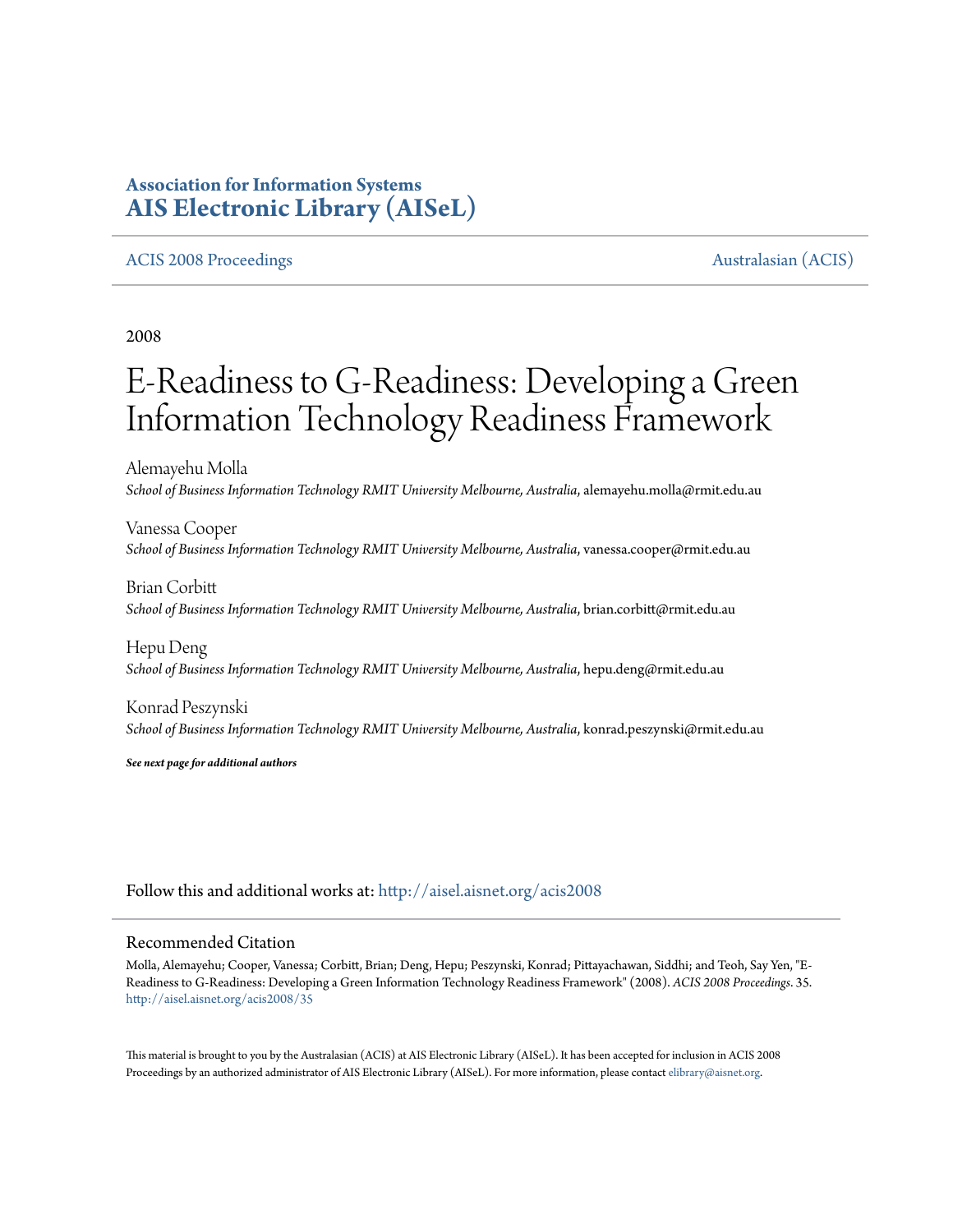# **Association for Information Systems [AIS Electronic Library \(AISeL\)](http://aisel.aisnet.org?utm_source=aisel.aisnet.org%2Facis2008%2F35&utm_medium=PDF&utm_campaign=PDFCoverPages)**

## [ACIS 2008 Proceedings](http://aisel.aisnet.org/acis2008?utm_source=aisel.aisnet.org%2Facis2008%2F35&utm_medium=PDF&utm_campaign=PDFCoverPages) [Australasian \(ACIS\)](http://aisel.aisnet.org/acis?utm_source=aisel.aisnet.org%2Facis2008%2F35&utm_medium=PDF&utm_campaign=PDFCoverPages)

2008

# E-Readiness to G-Readiness: Developing a Green Information Technology Readiness Framework

Alemayehu Molla *School of Business Information Technology RMIT University Melbourne, Australia*, alemayehu.molla@rmit.edu.au

Vanessa Cooper *School of Business Information Technology RMIT University Melbourne, Australia*, vanessa.cooper@rmit.edu.au

Brian Corbitt *School of Business Information Technology RMIT University Melbourne, Australia*, brian.corbitt@rmit.edu.au

Hepu Deng *School of Business Information Technology RMIT University Melbourne, Australia*, hepu.deng@rmit.edu.au

Konrad Peszynski School of Business Information Technology RMIT University Melbourne, Australia, konrad.peszynski@rmit.edu.au

*See next page for additional authors*

Follow this and additional works at: [http://aisel.aisnet.org/acis2008](http://aisel.aisnet.org/acis2008?utm_source=aisel.aisnet.org%2Facis2008%2F35&utm_medium=PDF&utm_campaign=PDFCoverPages)

## Recommended Citation

Molla, Alemayehu; Cooper, Vanessa; Corbitt, Brian; Deng, Hepu; Peszynski, Konrad; Pittayachawan, Siddhi; and Teoh, Say Yen, "E-Readiness to G-Readiness: Developing a Green Information Technology Readiness Framework" (2008). *ACIS 2008 Proceedings*. 35. [http://aisel.aisnet.org/acis2008/35](http://aisel.aisnet.org/acis2008/35?utm_source=aisel.aisnet.org%2Facis2008%2F35&utm_medium=PDF&utm_campaign=PDFCoverPages)

This material is brought to you by the Australasian (ACIS) at AIS Electronic Library (AISeL). It has been accepted for inclusion in ACIS 2008 Proceedings by an authorized administrator of AIS Electronic Library (AISeL). For more information, please contact [elibrary@aisnet.org](mailto:elibrary@aisnet.org%3E).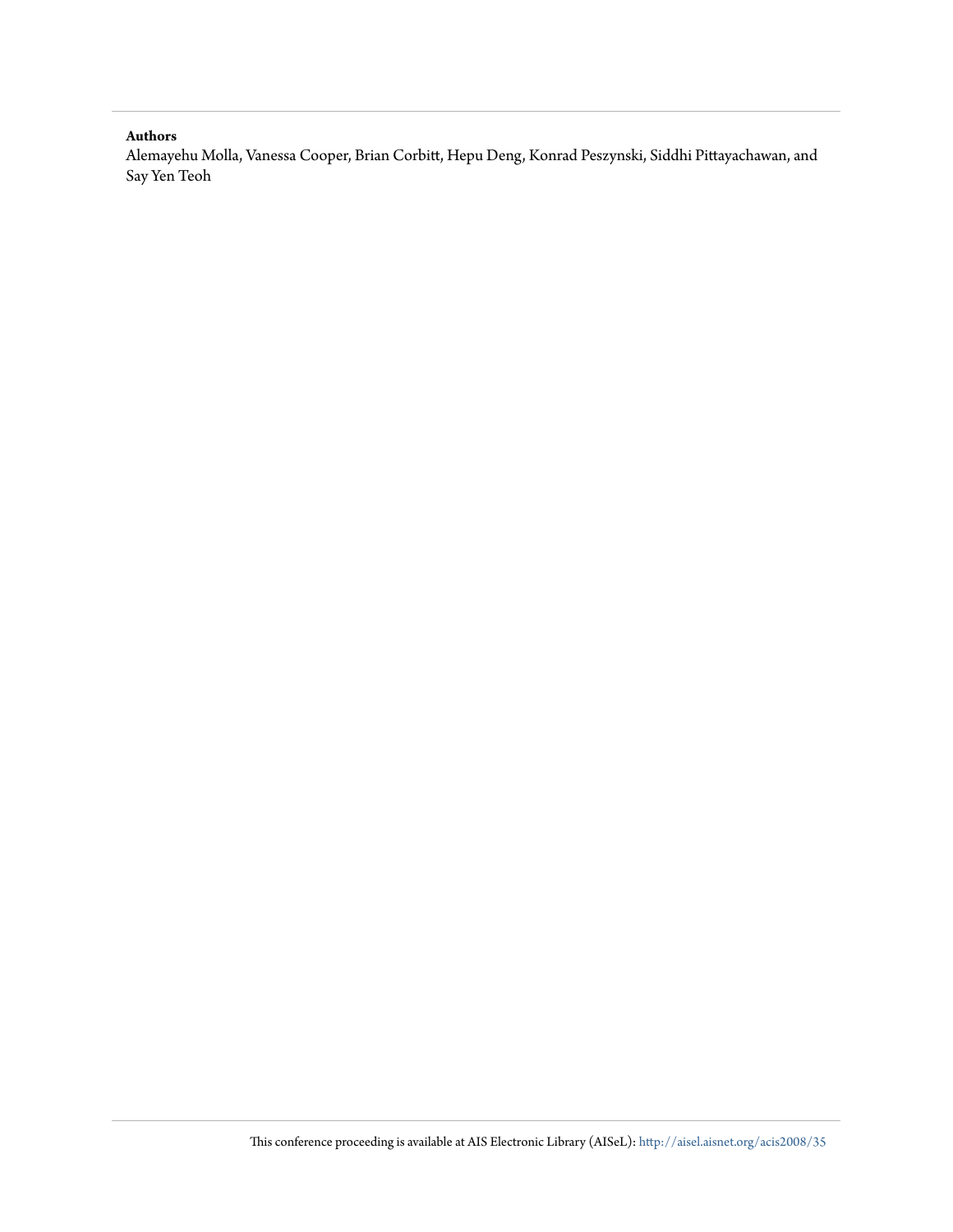#### **Authors**

Alemayehu Molla, Vanessa Cooper, Brian Corbitt, Hepu Deng, Konrad Peszynski, Siddhi Pittayachawan, and Say Yen Teoh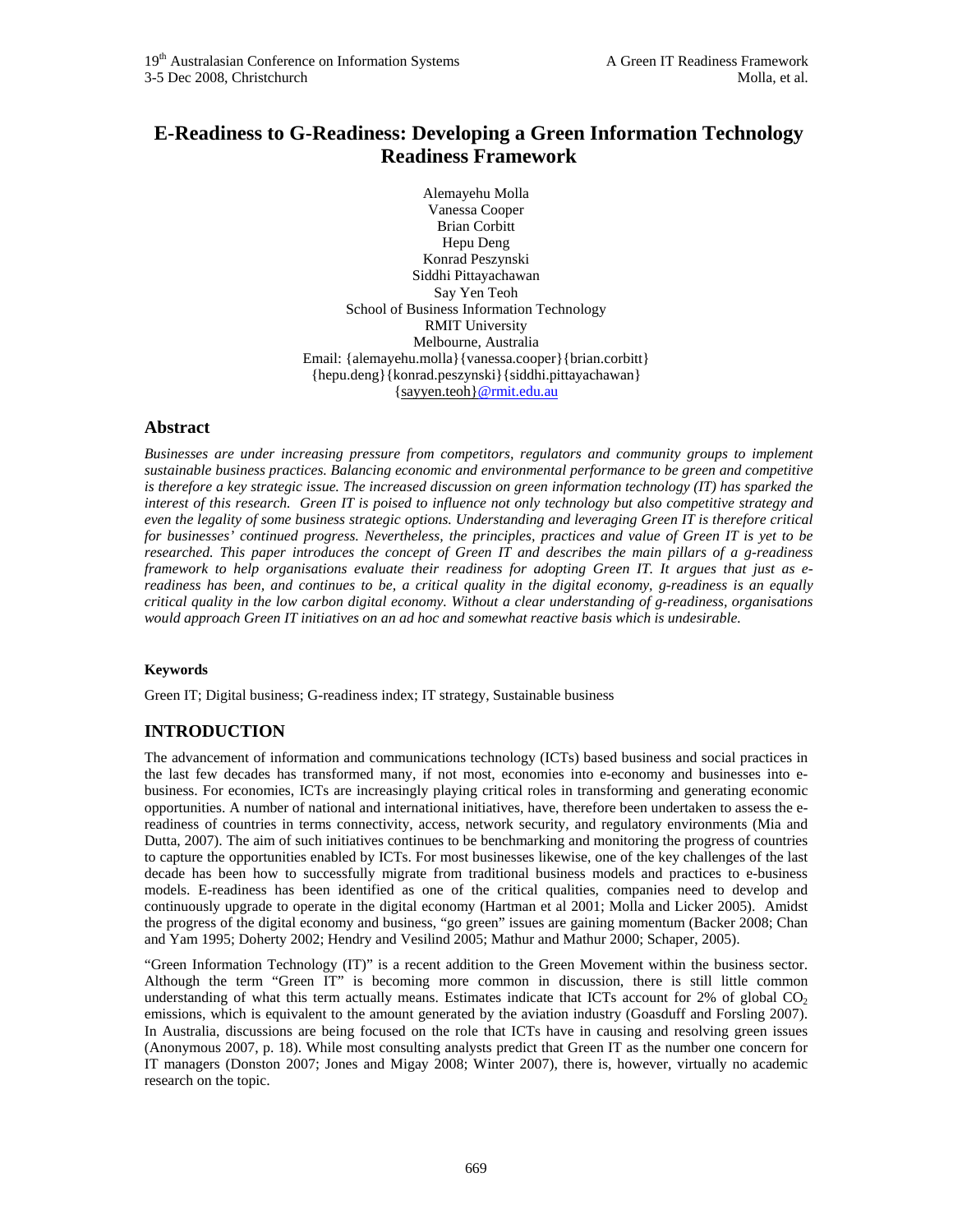## **E-Readiness to G-Readiness: Developing a Green Information Technology Readiness Framework**

Alemayehu Molla Vanessa Cooper Brian Corbitt Hepu Deng Konrad Peszynski Siddhi Pittayachawan Say Yen Teoh School of Business Information Technology RMIT University Melbourne, Australia Email: {alemayehu.molla}{vanessa.cooper}{brian.corbitt} {hepu.deng}{konrad.peszynski}{siddhi.pittayachawan} {sayyen.teoh}@rmit.edu.au

## **Abstract**

*Businesses are under increasing pressure from competitors, regulators and community groups to implement sustainable business practices. Balancing economic and environmental performance to be green and competitive is therefore a key strategic issue. The increased discussion on green information technology (IT) has sparked the interest of this research. Green IT is poised to influence not only technology but also competitive strategy and even the legality of some business strategic options. Understanding and leveraging Green IT is therefore critical for businesses' continued progress. Nevertheless, the principles, practices and value of Green IT is yet to be researched. This paper introduces the concept of Green IT and describes the main pillars of a g-readiness framework to help organisations evaluate their readiness for adopting Green IT. It argues that just as ereadiness has been, and continues to be, a critical quality in the digital economy, g-readiness is an equally critical quality in the low carbon digital economy. Without a clear understanding of g-readiness, organisations would approach Green IT initiatives on an ad hoc and somewhat reactive basis which is undesirable.* 

## **Keywords**

Green IT; Digital business; G-readiness index; IT strategy, Sustainable business

## **INTRODUCTION**

The advancement of information and communications technology (ICTs) based business and social practices in the last few decades has transformed many, if not most, economies into e-economy and businesses into ebusiness. For economies, ICTs are increasingly playing critical roles in transforming and generating economic opportunities. A number of national and international initiatives, have, therefore been undertaken to assess the ereadiness of countries in terms connectivity, access, network security, and regulatory environments (Mia and Dutta, 2007). The aim of such initiatives continues to be benchmarking and monitoring the progress of countries to capture the opportunities enabled by ICTs. For most businesses likewise, one of the key challenges of the last decade has been how to successfully migrate from traditional business models and practices to e-business models. E-readiness has been identified as one of the critical qualities, companies need to develop and continuously upgrade to operate in the digital economy (Hartman et al 2001; Molla and Licker 2005). Amidst the progress of the digital economy and business, "go green" issues are gaining momentum (Backer 2008; Chan and Yam 1995; Doherty 2002; Hendry and Vesilind 2005; Mathur and Mathur 2000; Schaper, 2005).

"Green Information Technology (IT)" is a recent addition to the Green Movement within the business sector. Although the term "Green IT" is becoming more common in discussion, there is still little common understanding of what this term actually means. Estimates indicate that ICTs account for  $2\%$  of global CO<sub>2</sub> emissions, which is equivalent to the amount generated by the aviation industry (Goasduff and Forsling 2007). In Australia, discussions are being focused on the role that ICTs have in causing and resolving green issues (Anonymous 2007, p. 18). While most consulting analysts predict that Green IT as the number one concern for IT managers (Donston 2007; Jones and Migay 2008; Winter 2007), there is, however, virtually no academic research on the topic.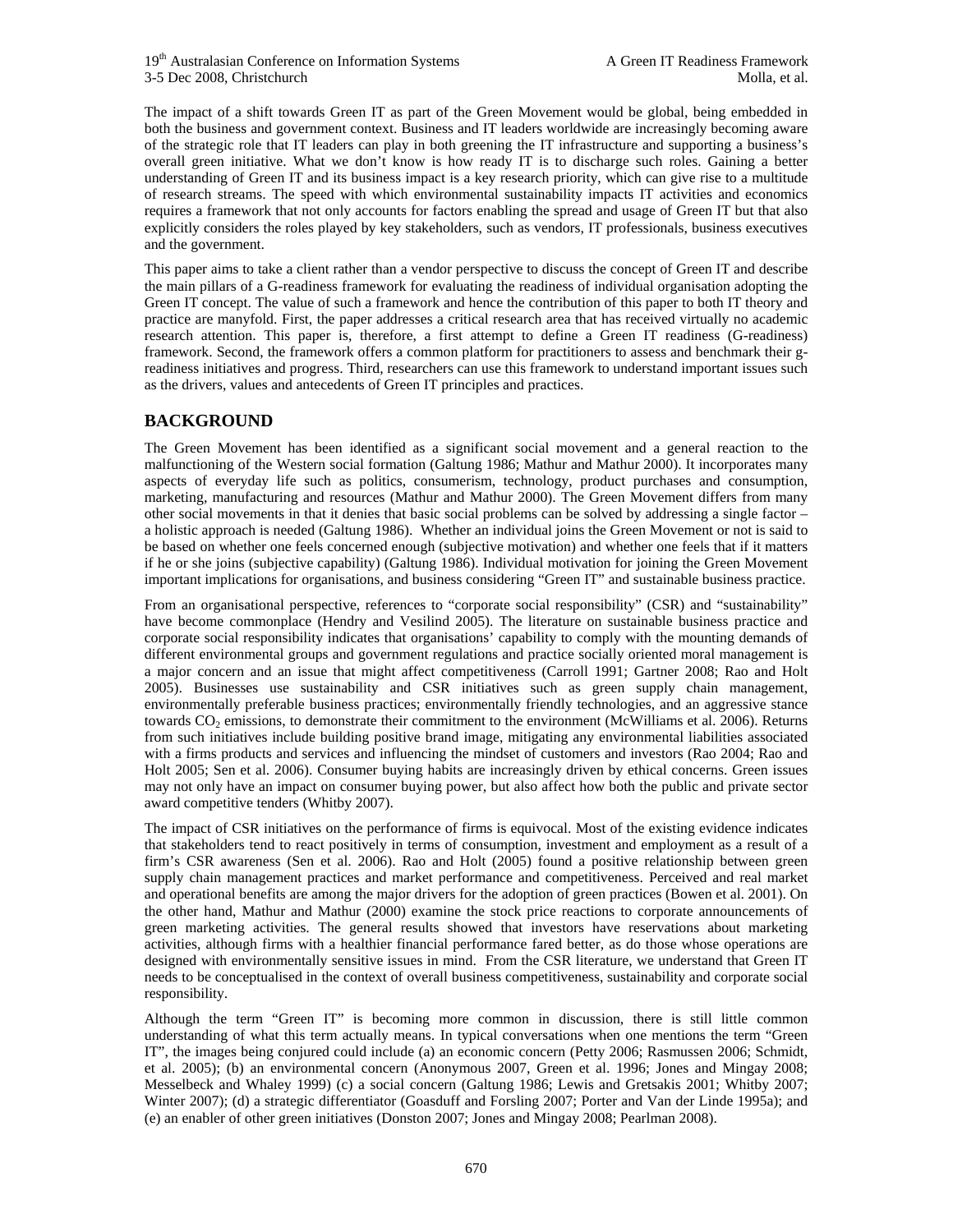The impact of a shift towards Green IT as part of the Green Movement would be global, being embedded in both the business and government context. Business and IT leaders worldwide are increasingly becoming aware of the strategic role that IT leaders can play in both greening the IT infrastructure and supporting a business's overall green initiative. What we don't know is how ready IT is to discharge such roles. Gaining a better understanding of Green IT and its business impact is a key research priority, which can give rise to a multitude of research streams. The speed with which environmental sustainability impacts IT activities and economics requires a framework that not only accounts for factors enabling the spread and usage of Green IT but that also explicitly considers the roles played by key stakeholders, such as vendors, IT professionals, business executives and the government.

This paper aims to take a client rather than a vendor perspective to discuss the concept of Green IT and describe the main pillars of a G-readiness framework for evaluating the readiness of individual organisation adopting the Green IT concept. The value of such a framework and hence the contribution of this paper to both IT theory and practice are manyfold. First, the paper addresses a critical research area that has received virtually no academic research attention. This paper is, therefore, a first attempt to define a Green IT readiness (G-readiness) framework. Second, the framework offers a common platform for practitioners to assess and benchmark their greadiness initiatives and progress. Third, researchers can use this framework to understand important issues such as the drivers, values and antecedents of Green IT principles and practices.

## **BACKGROUND**

The Green Movement has been identified as a significant social movement and a general reaction to the malfunctioning of the Western social formation (Galtung 1986; Mathur and Mathur 2000). It incorporates many aspects of everyday life such as politics, consumerism, technology, product purchases and consumption, marketing, manufacturing and resources (Mathur and Mathur 2000). The Green Movement differs from many other social movements in that it denies that basic social problems can be solved by addressing a single factor – a holistic approach is needed (Galtung 1986). Whether an individual joins the Green Movement or not is said to be based on whether one feels concerned enough (subjective motivation) and whether one feels that if it matters if he or she joins (subjective capability) (Galtung 1986). Individual motivation for joining the Green Movement important implications for organisations, and business considering "Green IT" and sustainable business practice.

From an organisational perspective, references to "corporate social responsibility" (CSR) and "sustainability" have become commonplace (Hendry and Vesilind 2005). The literature on sustainable business practice and corporate social responsibility indicates that organisations' capability to comply with the mounting demands of different environmental groups and government regulations and practice socially oriented moral management is a major concern and an issue that might affect competitiveness (Carroll 1991; Gartner 2008; Rao and Holt 2005). Businesses use sustainability and CSR initiatives such as green supply chain management, environmentally preferable business practices; environmentally friendly technologies, and an aggressive stance towards CO<sub>2</sub> emissions, to demonstrate their commitment to the environment (McWilliams et al. 2006). Returns from such initiatives include building positive brand image, mitigating any environmental liabilities associated with a firms products and services and influencing the mindset of customers and investors (Rao 2004; Rao and Holt 2005; Sen et al. 2006). Consumer buying habits are increasingly driven by ethical concerns. Green issues may not only have an impact on consumer buying power, but also affect how both the public and private sector award competitive tenders (Whitby 2007).

The impact of CSR initiatives on the performance of firms is equivocal. Most of the existing evidence indicates that stakeholders tend to react positively in terms of consumption, investment and employment as a result of a firm's CSR awareness (Sen et al. 2006). Rao and Holt (2005) found a positive relationship between green supply chain management practices and market performance and competitiveness. Perceived and real market and operational benefits are among the major drivers for the adoption of green practices (Bowen et al. 2001). On the other hand, Mathur and Mathur (2000) examine the stock price reactions to corporate announcements of green marketing activities. The general results showed that investors have reservations about marketing activities, although firms with a healthier financial performance fared better, as do those whose operations are designed with environmentally sensitive issues in mind. From the CSR literature, we understand that Green IT needs to be conceptualised in the context of overall business competitiveness, sustainability and corporate social responsibility.

Although the term "Green IT" is becoming more common in discussion, there is still little common understanding of what this term actually means. In typical conversations when one mentions the term "Green IT", the images being conjured could include (a) an economic concern (Petty 2006; Rasmussen 2006; Schmidt, et al. 2005); (b) an environmental concern (Anonymous 2007, Green et al. 1996; Jones and Mingay 2008; Messelbeck and Whaley 1999) (c) a social concern (Galtung 1986; Lewis and Gretsakis 2001; Whitby 2007; Winter 2007); (d) a strategic differentiator (Goasduff and Forsling 2007; Porter and Van der Linde 1995a); and (e) an enabler of other green initiatives (Donston 2007; Jones and Mingay 2008; Pearlman 2008).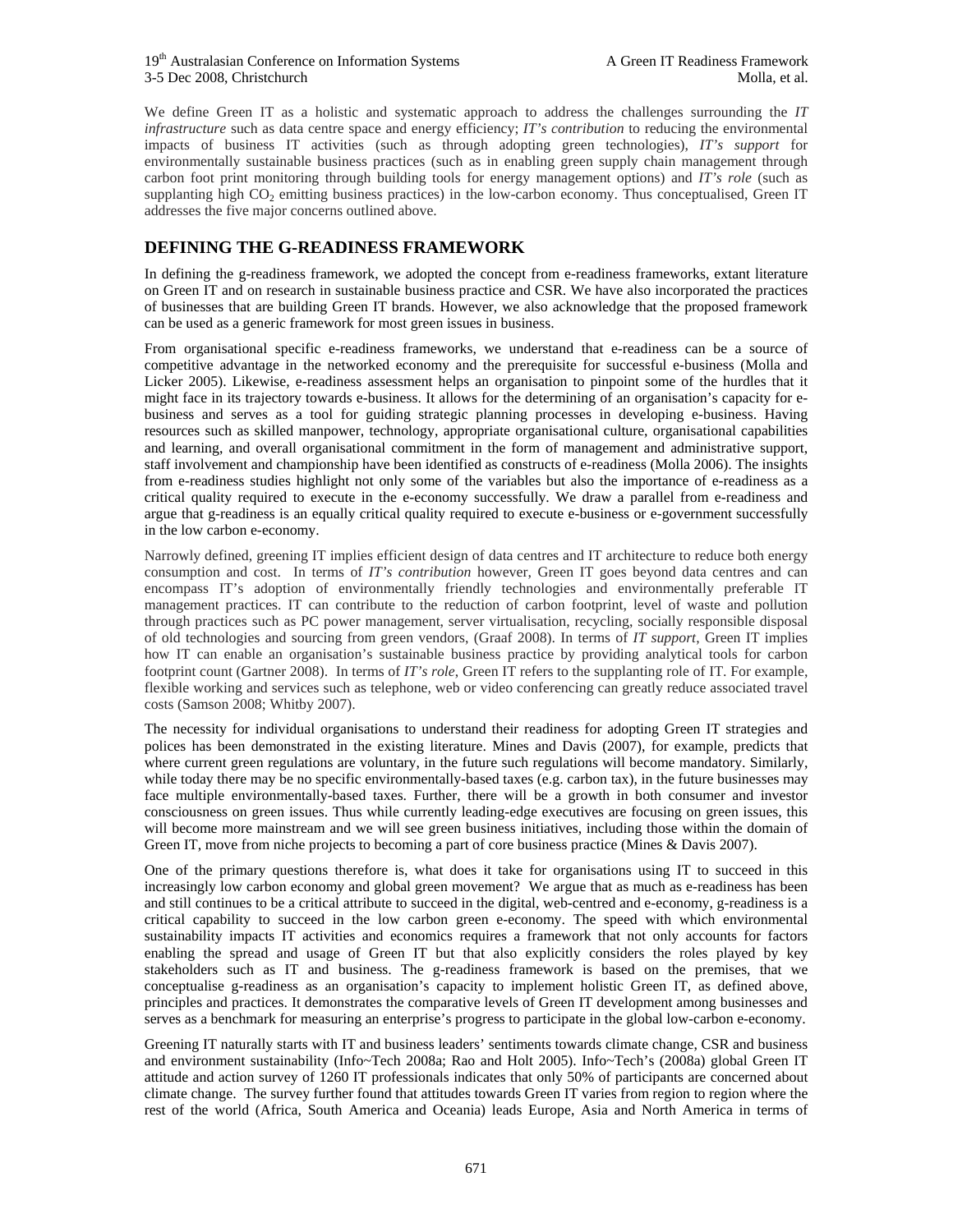We define Green IT as a holistic and systematic approach to address the challenges surrounding the *IT infrastructure* such as data centre space and energy efficiency; *IT's contribution* to reducing the environmental impacts of business IT activities (such as through adopting green technologies), *IT's support* for environmentally sustainable business practices (such as in enabling green supply chain management through carbon foot print monitoring through building tools for energy management options) and *IT's role* (such as supplanting high CO<sub>2</sub> emitting business practices) in the low-carbon economy. Thus conceptualised, Green IT addresses the five major concerns outlined above.

## **DEFINING THE G-READINESS FRAMEWORK**

In defining the g-readiness framework, we adopted the concept from e-readiness frameworks, extant literature on Green IT and on research in sustainable business practice and CSR. We have also incorporated the practices of businesses that are building Green IT brands. However, we also acknowledge that the proposed framework can be used as a generic framework for most green issues in business.

From organisational specific e-readiness frameworks, we understand that e-readiness can be a source of competitive advantage in the networked economy and the prerequisite for successful e-business (Molla and Licker 2005). Likewise, e-readiness assessment helps an organisation to pinpoint some of the hurdles that it might face in its trajectory towards e-business. It allows for the determining of an organisation's capacity for ebusiness and serves as a tool for guiding strategic planning processes in developing e-business. Having resources such as skilled manpower, technology, appropriate organisational culture, organisational capabilities and learning, and overall organisational commitment in the form of management and administrative support, staff involvement and championship have been identified as constructs of e-readiness (Molla 2006). The insights from e-readiness studies highlight not only some of the variables but also the importance of e-readiness as a critical quality required to execute in the e-economy successfully. We draw a parallel from e-readiness and argue that g-readiness is an equally critical quality required to execute e-business or e-government successfully in the low carbon e-economy.

Narrowly defined, greening IT implies efficient design of data centres and IT architecture to reduce both energy consumption and cost. In terms of *IT's contribution* however, Green IT goes beyond data centres and can encompass IT's adoption of environmentally friendly technologies and environmentally preferable IT management practices. IT can contribute to the reduction of carbon footprint, level of waste and pollution through practices such as PC power management, server virtualisation, recycling, socially responsible disposal of old technologies and sourcing from green vendors, (Graaf 2008). In terms of *IT support*, Green IT implies how IT can enable an organisation's sustainable business practice by providing analytical tools for carbon footprint count (Gartner 2008). In terms of *IT's role*, Green IT refers to the supplanting role of IT. For example, flexible working and services such as telephone, web or video conferencing can greatly reduce associated travel costs (Samson 2008; Whitby 2007).

The necessity for individual organisations to understand their readiness for adopting Green IT strategies and polices has been demonstrated in the existing literature. Mines and Davis (2007), for example, predicts that where current green regulations are voluntary, in the future such regulations will become mandatory. Similarly, while today there may be no specific environmentally-based taxes (e.g. carbon tax), in the future businesses may face multiple environmentally-based taxes. Further, there will be a growth in both consumer and investor consciousness on green issues. Thus while currently leading-edge executives are focusing on green issues, this will become more mainstream and we will see green business initiatives, including those within the domain of Green IT, move from niche projects to becoming a part of core business practice (Mines & Davis 2007).

One of the primary questions therefore is, what does it take for organisations using IT to succeed in this increasingly low carbon economy and global green movement? We argue that as much as e-readiness has been and still continues to be a critical attribute to succeed in the digital, web-centred and e-economy, g-readiness is a critical capability to succeed in the low carbon green e-economy. The speed with which environmental sustainability impacts IT activities and economics requires a framework that not only accounts for factors enabling the spread and usage of Green IT but that also explicitly considers the roles played by key stakeholders such as IT and business. The g-readiness framework is based on the premises, that we conceptualise g-readiness as an organisation's capacity to implement holistic Green IT, as defined above, principles and practices. It demonstrates the comparative levels of Green IT development among businesses and serves as a benchmark for measuring an enterprise's progress to participate in the global low-carbon e-economy.

Greening IT naturally starts with IT and business leaders' sentiments towards climate change, CSR and business and environment sustainability (Info~Tech 2008a; Rao and Holt 2005). Info~Tech's (2008a) global Green IT attitude and action survey of 1260 IT professionals indicates that only 50% of participants are concerned about climate change. The survey further found that attitudes towards Green IT varies from region to region where the rest of the world (Africa, South America and Oceania) leads Europe, Asia and North America in terms of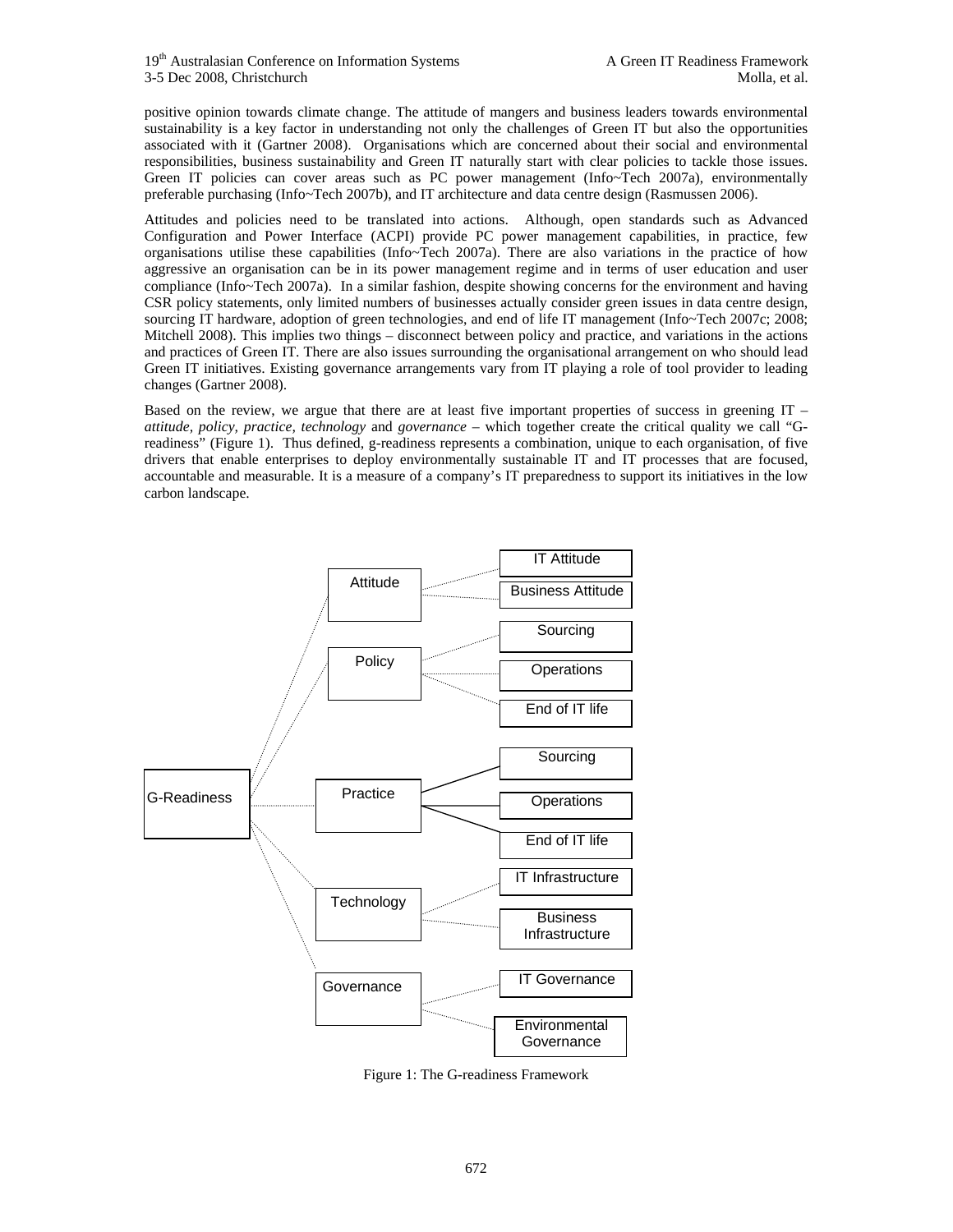positive opinion towards climate change. The attitude of mangers and business leaders towards environmental sustainability is a key factor in understanding not only the challenges of Green IT but also the opportunities associated with it (Gartner 2008). Organisations which are concerned about their social and environmental responsibilities, business sustainability and Green IT naturally start with clear policies to tackle those issues. Green IT policies can cover areas such as PC power management (Info~Tech 2007a), environmentally preferable purchasing (Info~Tech 2007b), and IT architecture and data centre design (Rasmussen 2006).

Attitudes and policies need to be translated into actions. Although, open standards such as Advanced Configuration and Power Interface (ACPI) provide PC power management capabilities, in practice, few organisations utilise these capabilities (Info~Tech 2007a). There are also variations in the practice of how aggressive an organisation can be in its power management regime and in terms of user education and user compliance (Info~Tech 2007a). In a similar fashion, despite showing concerns for the environment and having CSR policy statements, only limited numbers of businesses actually consider green issues in data centre design, sourcing IT hardware, adoption of green technologies, and end of life IT management (Info~Tech 2007c; 2008; Mitchell 2008). This implies two things – disconnect between policy and practice, and variations in the actions and practices of Green IT. There are also issues surrounding the organisational arrangement on who should lead Green IT initiatives. Existing governance arrangements vary from IT playing a role of tool provider to leading changes (Gartner 2008).

Based on the review, we argue that there are at least five important properties of success in greening IT – *attitude, policy, practice, technology* and *governance* – which together create the critical quality we call "Greadiness" (Figure 1). Thus defined, g-readiness represents a combination, unique to each organisation, of five drivers that enable enterprises to deploy environmentally sustainable IT and IT processes that are focused, accountable and measurable. It is a measure of a company's IT preparedness to support its initiatives in the low carbon landscape.



Figure 1: The G-readiness Framework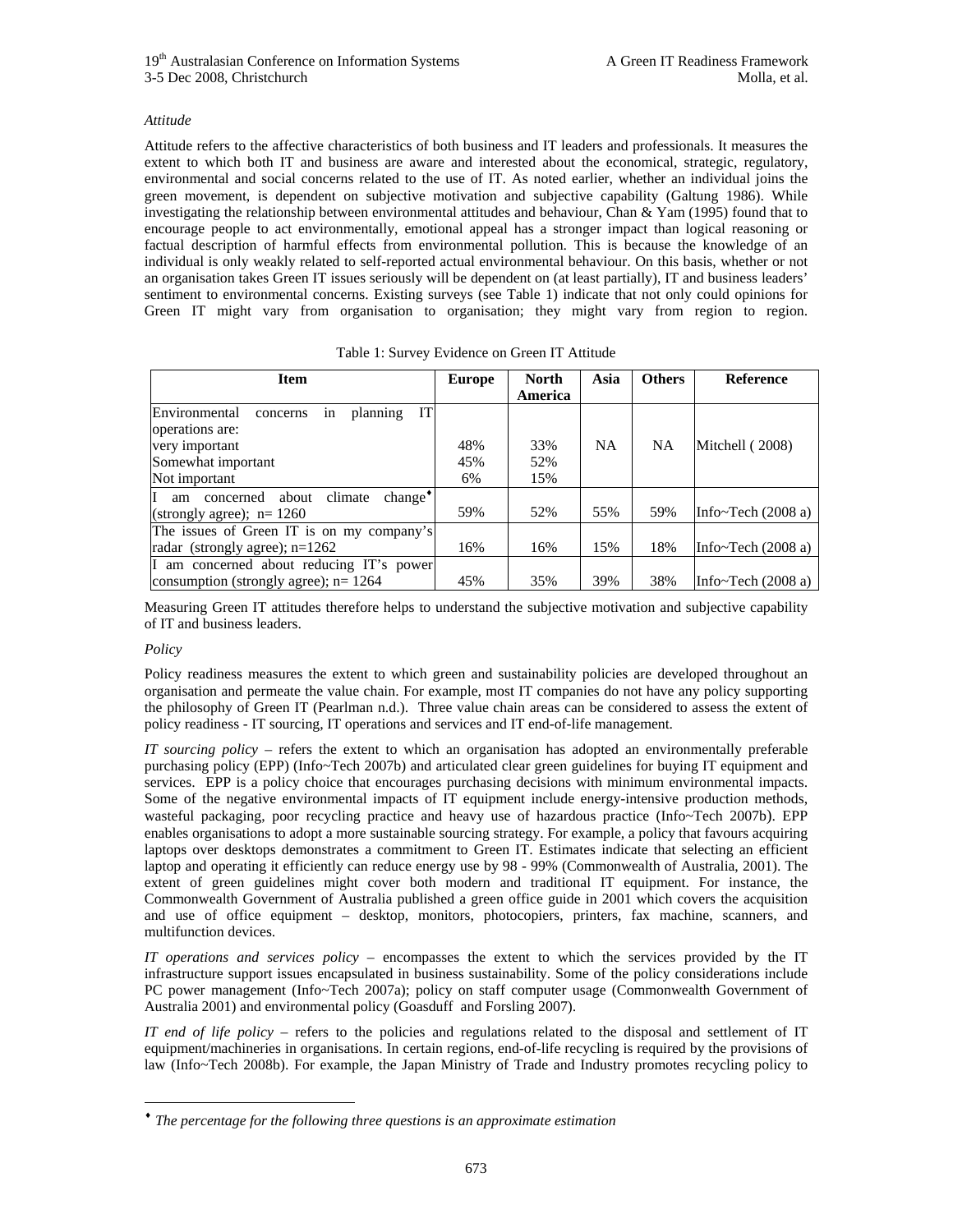### *Attitude*

Attitude refers to the affective characteristics of both business and IT leaders and professionals. It measures the extent to which both IT and business are aware and interested about the economical, strategic, regulatory, environmental and social concerns related to the use of IT. As noted earlier, whether an individual joins the green movement, is dependent on subjective motivation and subjective capability (Galtung 1986). While investigating the relationship between environmental attitudes and behaviour, Chan & Yam (1995) found that to encourage people to act environmentally, emotional appeal has a stronger impact than logical reasoning or factual description of harmful effects from environmental pollution. This is because the knowledge of an individual is only weakly related to self-reported actual environmental behaviour. On this basis, whether or not an organisation takes Green IT issues seriously will be dependent on (at least partially), IT and business leaders' sentiment to environmental concerns. Existing surveys (see Table 1) indicate that not only could opinions for Green IT might vary from organisation to organisation; they might vary from region to region.

| <b>Item</b>                                               | <b>Europe</b> | North   | Asia      | <b>Others</b> | <b>Reference</b>          |
|-----------------------------------------------------------|---------------|---------|-----------|---------------|---------------------------|
|                                                           |               | America |           |               |                           |
| Environmental<br>in<br>planning<br>IT<br>concerns         |               |         |           |               |                           |
| operations are:                                           |               |         |           |               |                           |
| very important                                            | 48%           | 33%     | <b>NA</b> | <b>NA</b>     | Mitchell (2008)           |
| Somewhat important                                        | 45%           | 52%     |           |               |                           |
| Not important                                             | 6%            | 15%     |           |               |                           |
| $change^{\bullet}$<br>IT<br>concerned about climate<br>am |               |         |           |               |                           |
| (strongly agree); $n = 1260$                              | 59%           | 52%     | 55%       | 59%           | Info $\sim$ Tech (2008 a) |
| The issues of Green IT is on my company's                 |               |         |           |               |                           |
| radar (strongly agree); $n=1262$                          | 16%           | 16%     | 15%       | 18%           | Info $\sim$ Tech (2008 a) |
| I am concerned about reducing IT's power                  |               |         |           |               |                           |
| consumption (strongly agree); $n = 1264$                  | 45%           | 35%     | 39%       | 38%           | Info~Tech $(2008a)$       |

Measuring Green IT attitudes therefore helps to understand the subjective motivation and subjective capability of IT and business leaders.

#### *Policy*

 $\overline{a}$ 

Policy readiness measures the extent to which green and sustainability policies are developed throughout an organisation and permeate the value chain. For example, most IT companies do not have any policy supporting the philosophy of Green IT (Pearlman n.d.). Three value chain areas can be considered to assess the extent of policy readiness - IT sourcing, IT operations and services and IT end-of-life management.

*IT sourcing policy* – refers the extent to which an organisation has adopted an environmentally preferable purchasing policy (EPP) (Info~Tech 2007b) and articulated clear green guidelines for buying IT equipment and services. EPP is a policy choice that encourages purchasing decisions with minimum environmental impacts. Some of the negative environmental impacts of IT equipment include energy-intensive production methods, wasteful packaging, poor recycling practice and heavy use of hazardous practice (Info~Tech 2007b). EPP enables organisations to adopt a more sustainable sourcing strategy. For example, a policy that favours acquiring laptops over desktops demonstrates a commitment to Green IT. Estimates indicate that selecting an efficient laptop and operating it efficiently can reduce energy use by 98 - 99% (Commonwealth of Australia, 2001). The extent of green guidelines might cover both modern and traditional IT equipment. For instance, the Commonwealth Government of Australia published a green office guide in 2001 which covers the acquisition and use of office equipment – desktop, monitors, photocopiers, printers, fax machine, scanners, and multifunction devices.

*IT operations and services policy* – encompasses the extent to which the services provided by the IT infrastructure support issues encapsulated in business sustainability. Some of the policy considerations include PC power management (Info~Tech 2007a); policy on staff computer usage (Commonwealth Government of Australia 2001) and environmental policy (Goasduff and Forsling 2007).

*IT end of life policy* – refers to the policies and regulations related to the disposal and settlement of IT equipment/machineries in organisations. In certain regions, end-of-life recycling is required by the provisions of law (Info~Tech 2008b). For example, the Japan Ministry of Trade and Industry promotes recycling policy to

<sup>♦</sup> *The percentage for the following three questions is an approximate estimation*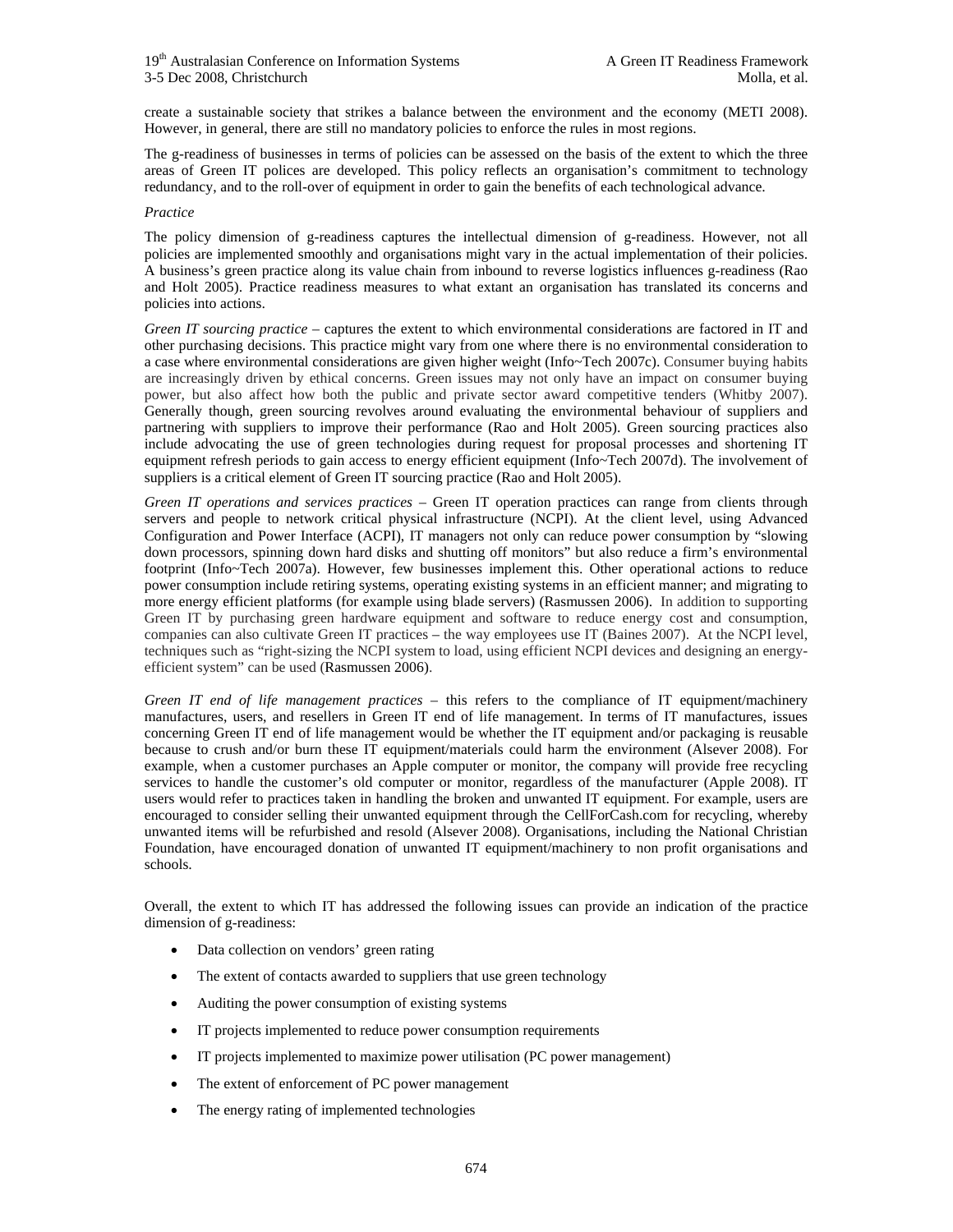create a sustainable society that strikes a balance between the environment and the economy (METI 2008). However, in general, there are still no mandatory policies to enforce the rules in most regions.

The g-readiness of businesses in terms of policies can be assessed on the basis of the extent to which the three areas of Green IT polices are developed. This policy reflects an organisation's commitment to technology redundancy, and to the roll-over of equipment in order to gain the benefits of each technological advance.

#### *Practice*

The policy dimension of g-readiness captures the intellectual dimension of g-readiness. However, not all policies are implemented smoothly and organisations might vary in the actual implementation of their policies. A business's green practice along its value chain from inbound to reverse logistics influences g-readiness (Rao and Holt 2005). Practice readiness measures to what extant an organisation has translated its concerns and policies into actions.

*Green IT sourcing practice* – captures the extent to which environmental considerations are factored in IT and other purchasing decisions. This practice might vary from one where there is no environmental consideration to a case where environmental considerations are given higher weight (Info~Tech 2007c). Consumer buying habits are increasingly driven by ethical concerns. Green issues may not only have an impact on consumer buying power, but also affect how both the public and private sector award competitive tenders (Whitby 2007). Generally though, green sourcing revolves around evaluating the environmental behaviour of suppliers and partnering with suppliers to improve their performance (Rao and Holt 2005). Green sourcing practices also include advocating the use of green technologies during request for proposal processes and shortening IT equipment refresh periods to gain access to energy efficient equipment (Info~Tech 2007d). The involvement of suppliers is a critical element of Green IT sourcing practice (Rao and Holt 2005).

*Green IT operations and services practices* – Green IT operation practices can range from clients through servers and people to network critical physical infrastructure (NCPI). At the client level, using Advanced Configuration and Power Interface (ACPI), IT managers not only can reduce power consumption by "slowing down processors, spinning down hard disks and shutting off monitors" but also reduce a firm's environmental footprint (Info~Tech 2007a). However, few businesses implement this. Other operational actions to reduce power consumption include retiring systems, operating existing systems in an efficient manner; and migrating to more energy efficient platforms (for example using blade servers) (Rasmussen 2006). In addition to supporting Green IT by purchasing green hardware equipment and software to reduce energy cost and consumption, companies can also cultivate Green IT practices – the way employees use IT (Baines 2007). At the NCPI level, techniques such as "right-sizing the NCPI system to load, using efficient NCPI devices and designing an energyefficient system" can be used (Rasmussen 2006).

*Green IT end of life management practices* – this refers to the compliance of IT equipment/machinery manufactures, users, and resellers in Green IT end of life management. In terms of IT manufactures, issues concerning Green IT end of life management would be whether the IT equipment and/or packaging is reusable because to crush and/or burn these IT equipment/materials could harm the environment (Alsever 2008). For example, when a customer purchases an Apple computer or monitor, the company will provide free recycling services to handle the customer's old computer or monitor, regardless of the manufacturer (Apple 2008). IT users would refer to practices taken in handling the broken and unwanted IT equipment. For example, users are encouraged to consider selling their unwanted equipment through the CellForCash.com for recycling, whereby unwanted items will be refurbished and resold (Alsever 2008). Organisations, including the National Christian Foundation, have encouraged donation of unwanted IT equipment/machinery to non profit organisations and schools.

Overall, the extent to which IT has addressed the following issues can provide an indication of the practice dimension of g-readiness:

- Data collection on vendors' green rating
- The extent of contacts awarded to suppliers that use green technology
- Auditing the power consumption of existing systems
- IT projects implemented to reduce power consumption requirements
- IT projects implemented to maximize power utilisation (PC power management)
- The extent of enforcement of PC power management
- The energy rating of implemented technologies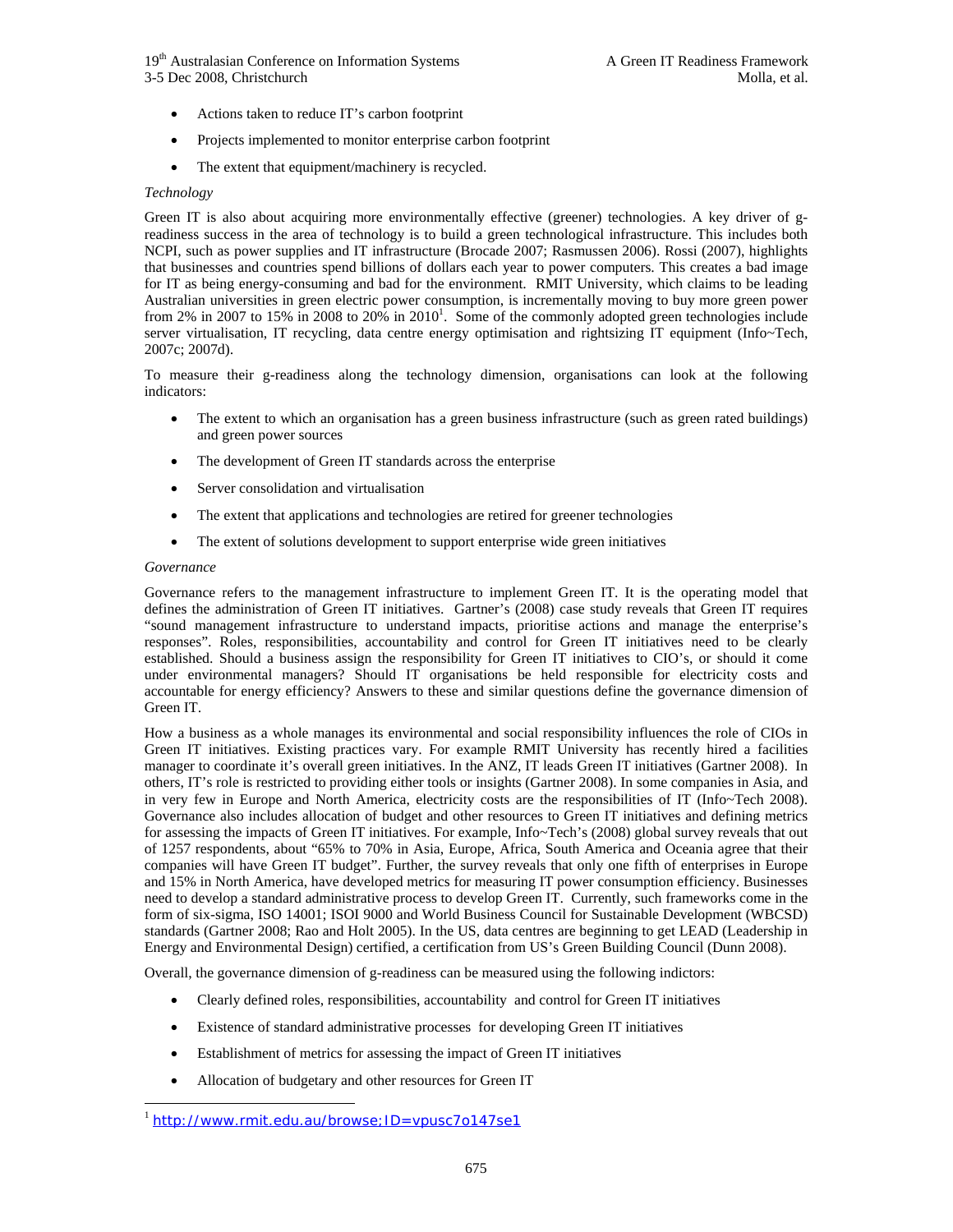19<sup>th</sup> Australasian Conference on Information Systems A Green IT Readiness Framework 3-5 Dec 2008, Christchurch Molla, et al.

- Actions taken to reduce IT's carbon footprint
- Projects implemented to monitor enterprise carbon footprint
- The extent that equipment/machinery is recycled.

#### *Technology*

Green IT is also about acquiring more environmentally effective (greener) technologies. A key driver of greadiness success in the area of technology is to build a green technological infrastructure. This includes both NCPI, such as power supplies and IT infrastructure (Brocade 2007; Rasmussen 2006). Rossi (2007), highlights that businesses and countries spend billions of dollars each year to power computers. This creates a bad image for IT as being energy-consuming and bad for the environment. RMIT University, which claims to be leading Australian universities in green electric power consumption, is incrementally moving to buy more green power from 2% in 2007 to 15% in 2008 to 20% in 2010<sup>1</sup>. Some of the commonly adopted green technologies include server virtualisation, IT recycling, data centre energy optimisation and rightsizing IT equipment (Info~Tech, 2007c; 2007d).

To measure their g-readiness along the technology dimension, organisations can look at the following indicators:

- The extent to which an organisation has a green business infrastructure (such as green rated buildings) and green power sources
- The development of Green IT standards across the enterprise
- Server consolidation and virtualisation
- The extent that applications and technologies are retired for greener technologies
- The extent of solutions development to support enterprise wide green initiatives

#### *Governance*

 $\overline{a}$ 

Governance refers to the management infrastructure to implement Green IT. It is the operating model that defines the administration of Green IT initiatives. Gartner's (2008) case study reveals that Green IT requires "sound management infrastructure to understand impacts, prioritise actions and manage the enterprise's responses". Roles, responsibilities, accountability and control for Green IT initiatives need to be clearly established. Should a business assign the responsibility for Green IT initiatives to CIO's, or should it come under environmental managers? Should IT organisations be held responsible for electricity costs and accountable for energy efficiency? Answers to these and similar questions define the governance dimension of Green IT.

How a business as a whole manages its environmental and social responsibility influences the role of CIOs in Green IT initiatives. Existing practices vary. For example RMIT University has recently hired a facilities manager to coordinate it's overall green initiatives. In the ANZ, IT leads Green IT initiatives (Gartner 2008). In others, IT's role is restricted to providing either tools or insights (Gartner 2008). In some companies in Asia, and in very few in Europe and North America, electricity costs are the responsibilities of IT (Info~Tech 2008). Governance also includes allocation of budget and other resources to Green IT initiatives and defining metrics for assessing the impacts of Green IT initiatives. For example, Info~Tech's (2008) global survey reveals that out of 1257 respondents, about "65% to 70% in Asia, Europe, Africa, South America and Oceania agree that their companies will have Green IT budget". Further, the survey reveals that only one fifth of enterprises in Europe and 15% in North America, have developed metrics for measuring IT power consumption efficiency. Businesses need to develop a standard administrative process to develop Green IT. Currently, such frameworks come in the form of six-sigma, ISO 14001; ISOI 9000 and World Business Council for Sustainable Development (WBCSD) standards (Gartner 2008; Rao and Holt 2005). In the US, data centres are beginning to get LEAD (Leadership in Energy and Environmental Design) certified, a certification from US's Green Building Council (Dunn 2008).

Overall, the governance dimension of g-readiness can be measured using the following indictors:

- Clearly defined roles, responsibilities, accountability and control for Green IT initiatives
- Existence of standard administrative processes for developing Green IT initiatives
- Establishment of metrics for assessing the impact of Green IT initiatives
- Allocation of budgetary and other resources for Green IT

<sup>&</sup>lt;sup>1</sup> http://www.rmit.edu.au/browse;ID=vpusc7o147se1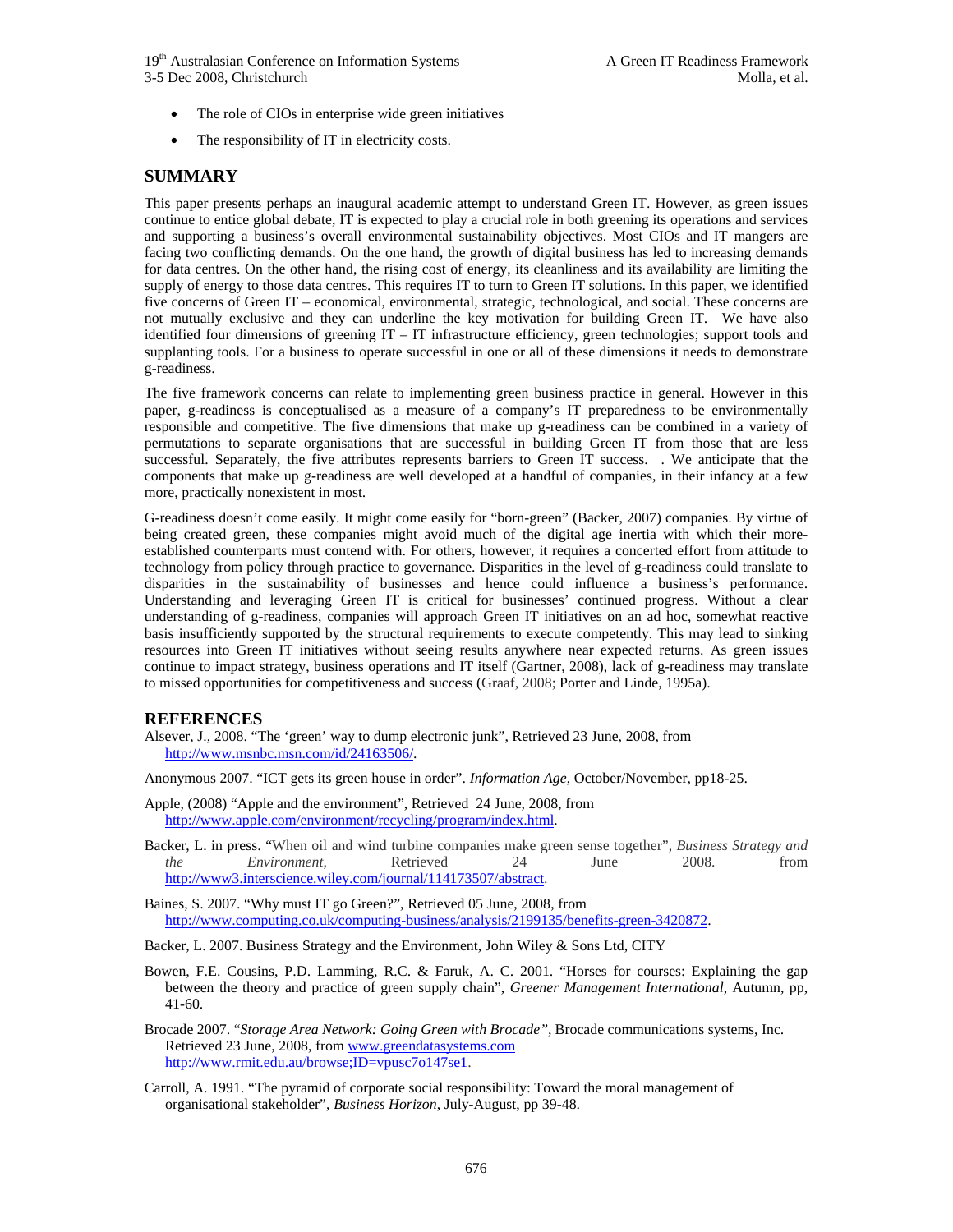19<sup>th</sup> Australasian Conference on Information Systems A Green IT Readiness Framework 3-5 Dec 2008, Christchurch Molla, et al.

- The role of CIOs in enterprise wide green initiatives
- The responsibility of IT in electricity costs.

## **SUMMARY**

This paper presents perhaps an inaugural academic attempt to understand Green IT. However, as green issues continue to entice global debate, IT is expected to play a crucial role in both greening its operations and services and supporting a business's overall environmental sustainability objectives. Most CIOs and IT mangers are facing two conflicting demands. On the one hand, the growth of digital business has led to increasing demands for data centres. On the other hand, the rising cost of energy, its cleanliness and its availability are limiting the supply of energy to those data centres. This requires IT to turn to Green IT solutions. In this paper, we identified five concerns of Green IT *–* economical, environmental, strategic, technological, and social. These concerns are not mutually exclusive and they can underline the key motivation for building Green IT. We have also identified four dimensions of greening IT *–* IT infrastructure efficiency, green technologies; support tools and supplanting tools. For a business to operate successful in one or all of these dimensions it needs to demonstrate g-readiness.

The five framework concerns can relate to implementing green business practice in general. However in this paper, g-readiness is conceptualised as a measure of a company's IT preparedness to be environmentally responsible and competitive. The five dimensions that make up g-readiness can be combined in a variety of permutations to separate organisations that are successful in building Green IT from those that are less successful. Separately, the five attributes represents barriers to Green IT success. . We anticipate that the components that make up g-readiness are well developed at a handful of companies, in their infancy at a few more, practically nonexistent in most.

G-readiness doesn't come easily. It might come easily for "born-green" (Backer, 2007) companies. By virtue of being created green, these companies might avoid much of the digital age inertia with which their moreestablished counterparts must contend with. For others, however, it requires a concerted effort from attitude to technology from policy through practice to governance. Disparities in the level of g-readiness could translate to disparities in the sustainability of businesses and hence could influence a business's performance. Understanding and leveraging Green IT is critical for businesses' continued progress. Without a clear understanding of g-readiness, companies will approach Green IT initiatives on an ad hoc, somewhat reactive basis insufficiently supported by the structural requirements to execute competently. This may lead to sinking resources into Green IT initiatives without seeing results anywhere near expected returns. As green issues continue to impact strategy, business operations and IT itself (Gartner, 2008), lack of g-readiness may translate to missed opportunities for competitiveness and success (Graaf, 2008; Porter and Linde, 1995a).

## **REFERENCES**

Alsever, J., 2008. "The 'green' way to dump electronic junk", Retrieved 23 June, 2008, from http://www.msnbc.msn.com/id/24163506/.

Anonymous 2007. "ICT gets its green house in order". *Information Age*, October/November, pp18-25.

- Apple, (2008) "Apple and the environment", Retrieved 24 June, 2008, from http://www.apple.com/environment/recycling/program/index.html.
- Backer, L. in press. "When oil and wind turbine companies make green sense together", *Business Strategy and the Environment,* Retrieved 24 June 2008. from http://www3.interscience.wiley.com/journal/114173507/abstract.

Baines, S. 2007. "Why must IT go Green?", Retrieved 05 June, 2008, from http://www.computing.co.uk/computing-business/analysis/2199135/benefits-green-3420872.

Backer, L. 2007. Business Strategy and the Environment, John Wiley & Sons Ltd, CITY

Bowen, F.E. Cousins, P.D. Lamming, R.C. & Faruk, A. C. 2001. "Horses for courses: Explaining the gap between the theory and practice of green supply chain", *Greener Management International*, Autumn, pp, 41-60.

Brocade 2007. "*Storage Area Network: Going Green with Brocade",* Brocade communications systems, Inc. Retrieved 23 June, 2008, from www.greendatasystems.com http://www.rmit.edu.au/browse;ID=vpusc7o147se1.

Carroll, A. 1991. "The pyramid of corporate social responsibility: Toward the moral management of organisational stakeholder", *Business Horizon*, July-August, pp 39-48.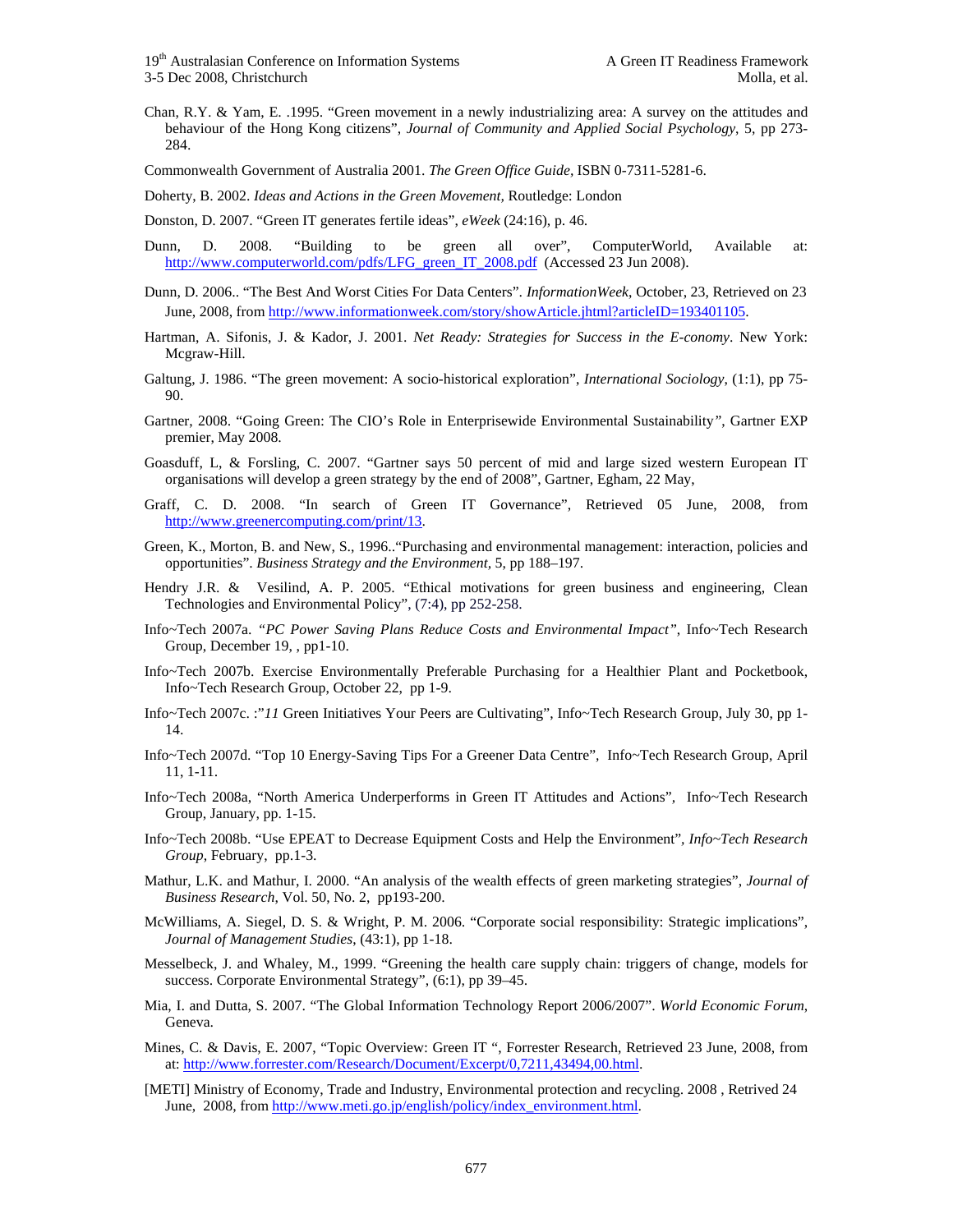Chan, R.Y. & Yam, E. .1995. "Green movement in a newly industrializing area: A survey on the attitudes and behaviour of the Hong Kong citizens", *Journal of Community and Applied Social Psychology*, 5, pp 273- 284.

Commonwealth Government of Australia 2001. *The Green Office Guide,* ISBN 0-7311-5281-6.

Doherty, B. 2002. *Ideas and Actions in the Green Movement,* Routledge: London

Donston, D. 2007. "Green IT generates fertile ideas", *eWeek* (24:16), p. 46.

- Dunn, D. 2008. "Building to be green all over", ComputerWorld, Available at: http://www.computerworld.com/pdfs/LFG\_green\_IT\_2008.pdf (Accessed 23 Jun 2008).
- Dunn, D. 2006.. "The Best And Worst Cities For Data Centers". *InformationWeek*, October, 23, Retrieved on 23 June, 2008, from http://www.informationweek.com/story/showArticle.jhtml?articleID=193401105.
- Hartman, A. Sifonis, J. & Kador, J. 2001. *Net Ready: Strategies for Success in the E-conomy*. New York: Mcgraw-Hill.
- Galtung, J. 1986. "The green movement: A socio-historical exploration", *International Sociology*, (1:1), pp 75- 90.
- Gartner, 2008. "Going Green: The CIO's Role in Enterprisewide Environmental Sustainability*"*, Gartner EXP premier, May 2008.
- Goasduff, L, & Forsling, C. 2007. "Gartner says 50 percent of mid and large sized western European IT organisations will develop a green strategy by the end of 2008", Gartner, Egham, 22 May,
- Graff, C. D. 2008. "In search of Green IT Governance", Retrieved 05 June, 2008, from http://www.greenercomputing.com/print/13.
- Green, K., Morton, B. and New, S., 1996.."Purchasing and environmental management: interaction, policies and opportunities". *Business Strategy and the Environment,* 5, pp 188–197.
- Hendry J.R. & Vesilind, A. P. 2005. "Ethical motivations for green business and engineering, Clean Technologies and Environmental Policy", (7:4), pp 252-258.
- Info~Tech 2007a. *"PC Power Saving Plans Reduce Costs and Environmental Impact"*, Info~Tech Research Group, December 19, , pp1-10.
- Info~Tech 2007b. Exercise Environmentally Preferable Purchasing for a Healthier Plant and Pocketbook, Info~Tech Research Group, October 22, pp 1-9.
- Info~Tech 2007c. :"*11* Green Initiatives Your Peers are Cultivating", Info~Tech Research Group, July 30, pp 1- 14.
- Info~Tech 2007d. "Top 10 Energy-Saving Tips For a Greener Data Centre"*,* Info~Tech Research Group, April 11, 1-11.
- Info~Tech 2008a, "North America Underperforms in Green IT Attitudes and Actions"*,* Info~Tech Research Group, January, pp. 1-15.
- Info~Tech 2008b. "Use EPEAT to Decrease Equipment Costs and Help the Environment"*, Info~Tech Research Group*, February, pp.1-3.
- Mathur, L.K. and Mathur, I. 2000. "An analysis of the wealth effects of green marketing strategies", *Journal of Business Research*, Vol. 50, No. 2, pp193-200.
- McWilliams, A. Siegel, D. S. & Wright, P. M. 2006. "Corporate social responsibility: Strategic implications", *Journal of Management Studies*, (43:1), pp 1-18.
- Messelbeck, J. and Whaley, M., 1999. "Greening the health care supply chain: triggers of change, models for success. Corporate Environmental Strategy", (6:1), pp 39–45.
- Mia, I. and Dutta, S. 2007. "The Global Information Technology Report 2006/2007". *World Economic Forum*, Geneva.
- Mines, C. & Davis, E. 2007, "Topic Overview: Green IT ", Forrester Research, Retrieved 23 June, 2008, from at: http://www.forrester.com/Research/Document/Excerpt/0,7211,43494,00.html.
- [METI] Ministry of Economy, Trade and Industry, Environmental protection and recycling. 2008 , Retrived 24 June, 2008, from http://www.meti.go.jp/english/policy/index\_environment.html.